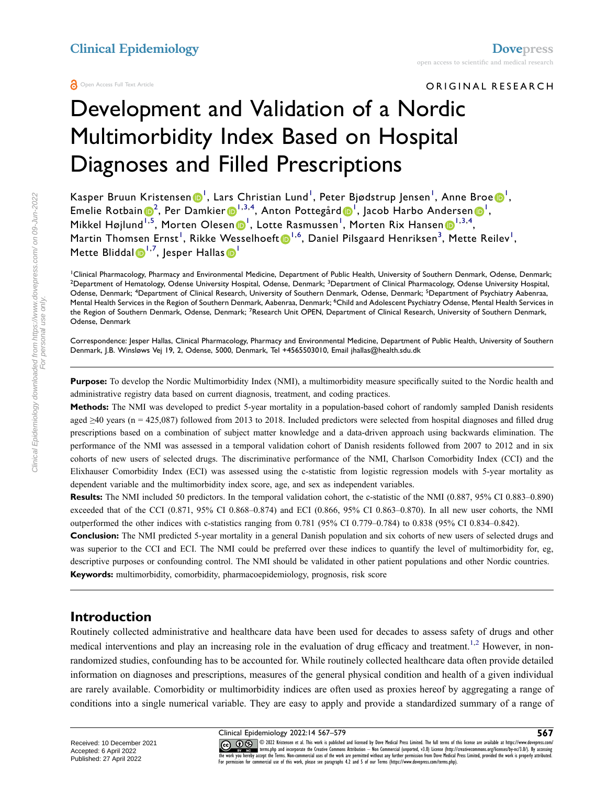#### ORIGINAL RESEARCH

# Development and Validation of a Nordic Multimorbidity Index Based on Hospital Diagnoses and Filled Prescriptions

Kasper Bruu[n](http://orcid.org/0000-0001-6373-1386) Kristensen $\bm{\odot}^\textsf{I}$ , Lars Christian Lund<sup>[1](#page-0-0)</sup>, Peter Bjødstrup Jensen<sup>1</sup>, Anne Broe $\bm{\odot}^\textsf{I}$ , Emelie Rotbain $\mathbf{D}^2$  $\mathbf{D}^2$ , Per Damkier $\mathbf{D}^{1,3,4}$  $\mathbf{D}^{1,3,4}$  $\mathbf{D}^{1,3,4}$  $\mathbf{D}^{1,3,4}$  $\mathbf{D}^{1,3,4}$  $\mathbf{D}^{1,3,4}$ , Anton Pottegård $\mathbf{D}^1$  $\mathbf{D}^1$ , Jacob Harbo Andersen $\mathbf{D}^1$ , Mikkel Højlund<sup>[1](#page-0-0),[5](#page-0-2)</sup>, Morten Olesen <mark>O</mark> <sup>I</sup>, Lotte Rasmussen <sup>I</sup>, Morten Rix Hansen D <sup>I,[3](#page-0-1),[4](#page-0-2)</sup>, Martin Thomsen Ernst<sup>[1](#page-0-0)</sup>, Rikke Wesselhoeft D<sup>[1,](#page-0-0)[6](#page-0-3)</sup>, Daniel Pilsgaard Henriksen<sup>[3](#page-0-1)</sup>, Mette Reilev<sup>1</sup>, Mette Bliddal $\bm{\mathbb{\Theta}}^{1,7}$  $\bm{\mathbb{\Theta}}^{1,7}$  $\bm{\mathbb{\Theta}}^{1,7}$  $\bm{\mathbb{\Theta}}^{1,7}$  $\bm{\mathbb{\Theta}}^{1,7}$ , Jesper Hallas $\bm{\mathbb{\Theta}}^{1}$ 

<span id="page-0-3"></span><span id="page-0-2"></span><span id="page-0-1"></span><span id="page-0-0"></span>1 Clinical Pharmacology, Pharmacy and Environmental Medicine, Department of Public Health, University of Southern Denmark, Odense, Denmark; <sup>2</sup>Department of Hematology, Odense University Hospital, Odense, Denmark; <sup>3</sup>Department of Clinical Pharmacology, Odense University Hospital, Odense, Denmark; <sup>4</sup>Department of Clinical Research, University of Southern Denmark, Odense, Denmark; <sup>5</sup>Department of Psychiatry Aabenraa, Mental Health Services in the Region of Southern Denmark, Aabenraa, Denmark; <sup>6</sup>Child and Adolescent Psychiatry Odense, Mental Health Services in the Region of Southern Denmark, Odense, Denmark; <sup>7</sup>Research Unit OPEN, Department of Clinical Research, University of Southern Denmark, Odense, Denmark

<span id="page-0-4"></span>Correspondence: Jesper Hallas, Clinical Pharmacology, Pharmacy and Environmental Medicine, Department of Public Health, University of Southern Denmark, J.B. Winsløws Vej 19, 2, Odense, 5000, Denmark, Tel +4565503010, Email jhallas@health.sdu.dk

**Purpose:** To develop the Nordic Multimorbidity Index (NMI), a multimorbidity measure specifically suited to the Nordic health and administrative registry data based on current diagnosis, treatment, and coding practices.

**Methods:** The NMI was developed to predict 5-year mortality in a population-based cohort of randomly sampled Danish residents aged ≥40 years (n = 425,087) followed from 2013 to 2018. Included predictors were selected from hospital diagnoses and filled drug prescriptions based on a combination of subject matter knowledge and a data-driven approach using backwards elimination. The performance of the NMI was assessed in a temporal validation cohort of Danish residents followed from 2007 to 2012 and in six cohorts of new users of selected drugs. The discriminative performance of the NMI, Charlson Comorbidity Index (CCI) and the Elixhauser Comorbidity Index (ECI) was assessed using the c-statistic from logistic regression models with 5-year mortality as dependent variable and the multimorbidity index score, age, and sex as independent variables.

**Results:** The NMI included 50 predictors. In the temporal validation cohort, the c-statistic of the NMI (0.887, 95% CI 0.883–0.890) exceeded that of the CCI (0.871, 95% CI 0.868–0.874) and ECI (0.866, 95% CI 0.863–0.870). In all new user cohorts, the NMI outperformed the other indices with c-statistics ranging from 0.781 (95% CI 0.779–0.784) to 0.838 (95% CI 0.834–0.842).

**Conclusion:** The NMI predicted 5-year mortality in a general Danish population and six cohorts of new users of selected drugs and was superior to the CCI and ECI. The NMI could be preferred over these indices to quantify the level of multimorbidity for, eg, descriptive purposes or confounding control. The NMI should be validated in other patient populations and other Nordic countries. **Keywords:** multimorbidity, comorbidity, pharmacoepidemiology, prognosis, risk score

#### **Introduction**

<span id="page-0-5"></span>Routinely collected administrative and healthcare data have been used for decades to assess safety of drugs and other medical interventions and play an increasing role in the evaluation of drug efficacy and treatment.<sup>1,[2](#page-11-1)</sup> However, in nonrandomized studies, confounding has to be accounted for. While routinely collected healthcare data often provide detailed information on diagnoses and prescriptions, measures of the general physical condition and health of a given individual are rarely available. Comorbidity or multimorbidity indices are often used as proxies hereof by aggregating a range of conditions into a single numerical variable. They are easy to apply and provide a standardized summary of a range of

Received: 10 December 2021 Accepted: 6 April 2022 Published: 27 April 2022

Clinical Epidemiology 2022:14 567–579<br>
CO OS © 2022 Kristensen et al. This work is published and licensed by Dove Medical Press Limited. The full terms of this license are available at [https://www.dovepress.com/](https://www.dovepress.com/terms.php)<br>
the work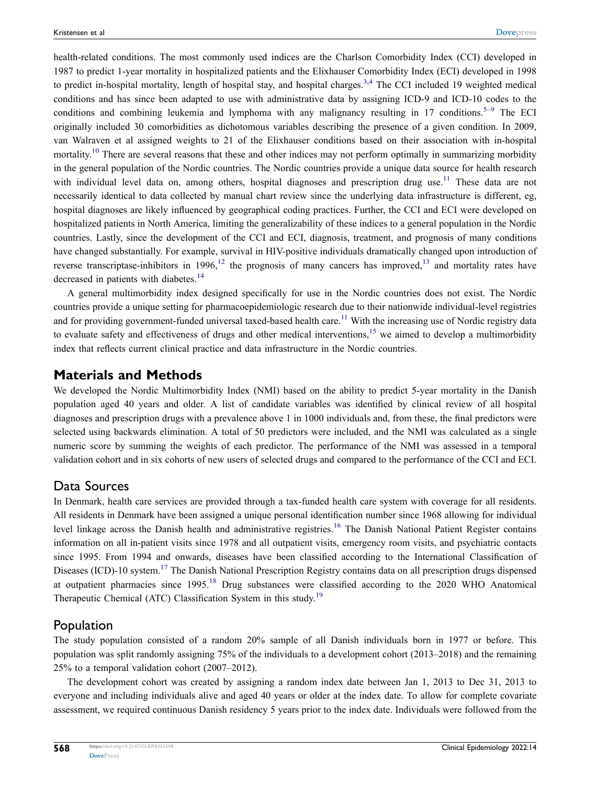<span id="page-1-2"></span><span id="page-1-1"></span><span id="page-1-0"></span>health-related conditions. The most commonly used indices are the Charlson Comorbidity Index (CCI) developed in 1987 to predict 1-year mortality in hospitalized patients and the Elixhauser Comorbidity Index (ECI) developed in 1998 to predict in-hospital mortality, length of hospital stay, and hospital charges.<sup>[3](#page-11-2)[,4](#page-11-3)</sup> The CCI included 19 weighted medical conditions and has since been adapted to use with administrative data by assigning ICD-9 and ICD-10 codes to the conditions and combining leukemia and lymphoma with any malignancy resulting in 17 conditions.<sup>[5–](#page-11-4)[9](#page-11-5)</sup> The ECI originally included 30 comorbidities as dichotomous variables describing the presence of a given condition. In 2009, van Walraven et al assigned weights to 21 of the Elixhauser conditions based on their association with in-hospital mortality.<sup>[10](#page-11-6)</sup> There are several reasons that these and other indices may not perform optimally in summarizing morbidity in the general population of the Nordic countries. The Nordic countries provide a unique data source for health research with individual level data on, among others, hospital diagnoses and prescription drug use.<sup>[11](#page-11-7)</sup> These data are not necessarily identical to data collected by manual chart review since the underlying data infrastructure is different, eg, hospital diagnoses are likely influenced by geographical coding practices. Further, the CCI and ECI were developed on hospitalized patients in North America, limiting the generalizability of these indices to a general population in the Nordic countries. Lastly, since the development of the CCI and ECI, diagnosis, treatment, and prognosis of many conditions have changed substantially. For example, survival in HIV-positive individuals dramatically changed upon introduction of reverse transcriptase-inhibitors in 1996,<sup>[12](#page-11-8)</sup> the prognosis of many cancers has improved.<sup>13</sup> and mortality rates have decreased in patients with diabetes.<sup>[14](#page-11-10)</sup>

<span id="page-1-6"></span><span id="page-1-5"></span><span id="page-1-4"></span><span id="page-1-3"></span>A general multimorbidity index designed specifically for use in the Nordic countries does not exist. The Nordic countries provide a unique setting for pharmacoepidemiologic research due to their nationwide individual-level registries and for providing government-funded universal taxed-based health care.<sup>[11](#page-11-7)</sup> With the increasing use of Nordic registry data to evaluate safety and effectiveness of drugs and other medical interventions, $1<sup>5</sup>$  we aimed to develop a multimorbidity index that reflects current clinical practice and data infrastructure in the Nordic countries.

#### **Materials and Methods**

We developed the Nordic Multimorbidity Index (NMI) based on the ability to predict 5-year mortality in the Danish population aged 40 years and older. A list of candidate variables was identified by clinical review of all hospital diagnoses and prescription drugs with a prevalence above 1 in 1000 individuals and, from these, the final predictors were selected using backwards elimination. A total of 50 predictors were included, and the NMI was calculated as a single numeric score by summing the weights of each predictor. The performance of the NMI was assessed in a temporal validation cohort and in six cohorts of new users of selected drugs and compared to the performance of the CCI and ECI.

# Data Sources

<span id="page-1-7"></span>In Denmark, health care services are provided through a tax-funded health care system with coverage for all residents. All residents in Denmark have been assigned a unique personal identification number since 1968 allowing for individual level linkage across the Danish health and administrative registries.<sup>[16](#page-12-1)</sup> The Danish National Patient Register contains information on all in-patient visits since 1978 and all outpatient visits, emergency room visits, and psychiatric contacts since 1995. From 1994 and onwards, diseases have been classified according to the International Classification of Diseases (ICD)-10 system.<sup>[17](#page-12-2)</sup> The Danish National Prescription Registry contains data on all prescription drugs dispensed at outpatient pharmacies since 1995.<sup>[18](#page-12-3)</sup> Drug substances were classified according to the 2020 WHO Anatomical Therapeutic Chemical (ATC) Classification System in this study.<sup>[19](#page-12-4)</sup>

#### <span id="page-1-10"></span><span id="page-1-9"></span><span id="page-1-8"></span>Population

The study population consisted of a random 20% sample of all Danish individuals born in 1977 or before. This population was split randomly assigning 75% of the individuals to a development cohort (2013–2018) and the remaining 25% to a temporal validation cohort (2007–2012).

The development cohort was created by assigning a random index date between Jan 1, 2013 to Dec 31, 2013 to everyone and including individuals alive and aged 40 years or older at the index date. To allow for complete covariate assessment, we required continuous Danish residency 5 years prior to the index date. Individuals were followed from the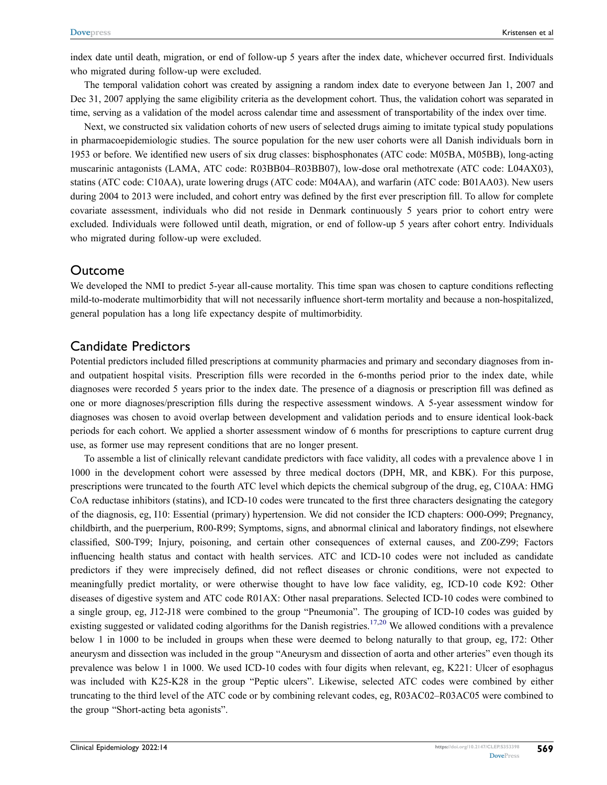index date until death, migration, or end of follow-up 5 years after the index date, whichever occurred first. Individuals who migrated during follow-up were excluded.

The temporal validation cohort was created by assigning a random index date to everyone between Jan 1, 2007 and Dec 31, 2007 applying the same eligibility criteria as the development cohort. Thus, the validation cohort was separated in time, serving as a validation of the model across calendar time and assessment of transportability of the index over time.

Next, we constructed six validation cohorts of new users of selected drugs aiming to imitate typical study populations in pharmacoepidemiologic studies. The source population for the new user cohorts were all Danish individuals born in 1953 or before. We identified new users of six drug classes: bisphosphonates (ATC code: M05BA, M05BB), long-acting muscarinic antagonists (LAMA, ATC code: R03BB04–R03BB07), low-dose oral methotrexate (ATC code: L04AX03), statins (ATC code: C10AA), urate lowering drugs (ATC code: M04AA), and warfarin (ATC code: B01AA03). New users during 2004 to 2013 were included, and cohort entry was defined by the first ever prescription fill. To allow for complete covariate assessment, individuals who did not reside in Denmark continuously 5 years prior to cohort entry were excluded. Individuals were followed until death, migration, or end of follow-up 5 years after cohort entry. Individuals who migrated during follow-up were excluded.

#### **Outcome**

We developed the NMI to predict 5-year all-cause mortality. This time span was chosen to capture conditions reflecting mild-to-moderate multimorbidity that will not necessarily influence short-term mortality and because a non-hospitalized, general population has a long life expectancy despite of multimorbidity.

#### Candidate Predictors

Potential predictors included filled prescriptions at community pharmacies and primary and secondary diagnoses from inand outpatient hospital visits. Prescription fills were recorded in the 6-months period prior to the index date, while diagnoses were recorded 5 years prior to the index date. The presence of a diagnosis or prescription fill was defined as one or more diagnoses/prescription fills during the respective assessment windows. A 5-year assessment window for diagnoses was chosen to avoid overlap between development and validation periods and to ensure identical look-back periods for each cohort. We applied a shorter assessment window of 6 months for prescriptions to capture current drug use, as former use may represent conditions that are no longer present.

<span id="page-2-0"></span>To assemble a list of clinically relevant candidate predictors with face validity, all codes with a prevalence above 1 in 1000 in the development cohort were assessed by three medical doctors (DPH, MR, and KBK). For this purpose, prescriptions were truncated to the fourth ATC level which depicts the chemical subgroup of the drug, eg, C10AA: HMG CoA reductase inhibitors (statins), and ICD-10 codes were truncated to the first three characters designating the category of the diagnosis, eg, I10: Essential (primary) hypertension. We did not consider the ICD chapters: O00-O99; Pregnancy, childbirth, and the puerperium, R00-R99; Symptoms, signs, and abnormal clinical and laboratory findings, not elsewhere classified, S00-T99; Injury, poisoning, and certain other consequences of external causes, and Z00-Z99; Factors influencing health status and contact with health services. ATC and ICD-10 codes were not included as candidate predictors if they were imprecisely defined, did not reflect diseases or chronic conditions, were not expected to meaningfully predict mortality, or were otherwise thought to have low face validity, eg, ICD-10 code K92: Other diseases of digestive system and ATC code R01AX: Other nasal preparations. Selected ICD-10 codes were combined to a single group, eg, J12-J18 were combined to the group "Pneumonia". The grouping of ICD-10 codes was guided by existing suggested or validated coding algorithms for the Danish registries.<sup>17,[20](#page-12-5)</sup> We allowed conditions with a prevalence below 1 in 1000 to be included in groups when these were deemed to belong naturally to that group, eg, I72: Other aneurysm and dissection was included in the group "Aneurysm and dissection of aorta and other arteries" even though its prevalence was below 1 in 1000. We used ICD-10 codes with four digits when relevant, eg, K221: Ulcer of esophagus was included with K25-K28 in the group "Peptic ulcers". Likewise, selected ATC codes were combined by either truncating to the third level of the ATC code or by combining relevant codes, eg, R03AC02–R03AC05 were combined to the group "Short-acting beta agonists".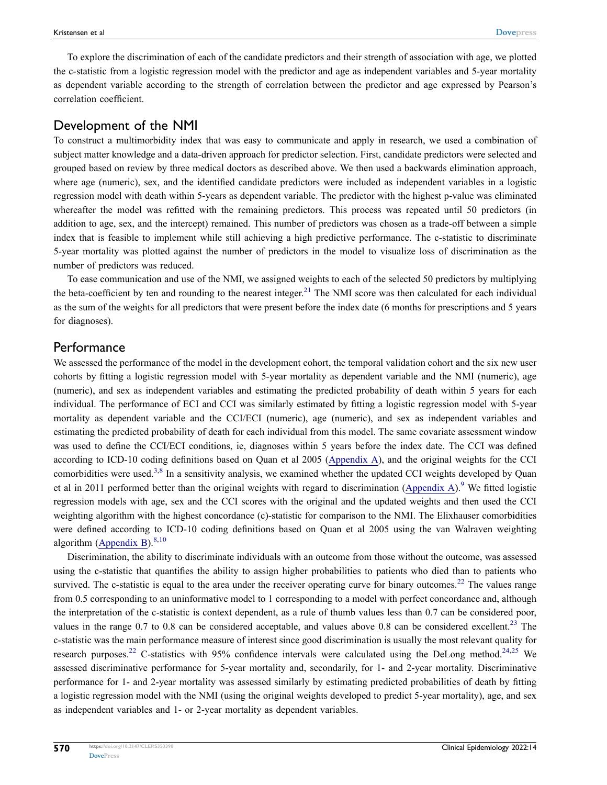To explore the discrimination of each of the candidate predictors and their strength of association with age, we plotted the c-statistic from a logistic regression model with the predictor and age as independent variables and 5-year mortality as dependent variable according to the strength of correlation between the predictor and age expressed by Pearson's correlation coefficient.

#### Development of the NMI

To construct a multimorbidity index that was easy to communicate and apply in research, we used a combination of subject matter knowledge and a data-driven approach for predictor selection. First, candidate predictors were selected and grouped based on review by three medical doctors as described above. We then used a backwards elimination approach, where age (numeric), sex, and the identified candidate predictors were included as independent variables in a logistic regression model with death within 5-years as dependent variable. The predictor with the highest p-value was eliminated whereafter the model was refitted with the remaining predictors. This process was repeated until 50 predictors (in addition to age, sex, and the intercept) remained. This number of predictors was chosen as a trade-off between a simple index that is feasible to implement while still achieving a high predictive performance. The c-statistic to discriminate 5-year mortality was plotted against the number of predictors in the model to visualize loss of discrimination as the number of predictors was reduced.

<span id="page-3-2"></span>To ease communication and use of the NMI, we assigned weights to each of the selected 50 predictors by multiplying the beta-coefficient by ten and rounding to the nearest integer.<sup>[21](#page-12-6)</sup> The NMI score was then calculated for each individual as the sum of the weights for all predictors that were present before the index date (6 months for prescriptions and 5 years for diagnoses).

#### Performance

We assessed the performance of the model in the development cohort, the temporal validation cohort and the six new user cohorts by fitting a logistic regression model with 5-year mortality as dependent variable and the NMI (numeric), age (numeric), and sex as independent variables and estimating the predicted probability of death within 5 years for each individual. The performance of ECI and CCI was similarly estimated by fitting a logistic regression model with 5-year mortality as dependent variable and the CCI/ECI (numeric), age (numeric), and sex as independent variables and estimating the predicted probability of death for each individual from this model. The same covariate assessment window was used to define the CCI/ECI conditions, ie, diagnoses within 5 years before the index date. The CCI was defined according to ICD-10 coding definitions based on Quan et al 2005 ([Appendix A\)](https://www.dovepress.com/get_supplementary_file.php?f=353398.docx), and the original weights for the CCI comorbidities were used.<sup>3,[8](#page-11-11)</sup> In a sensitivity analysis, we examined whether the updated CCI weights developed by Quan et al in 2011 performed better than the original weights with regard to discrimination [\(Appendix A\)](https://www.dovepress.com/get_supplementary_file.php?f=353398.docx).<sup>[9](#page-11-5)</sup> We fitted logistic regression models with age, sex and the CCI scores with the original and the updated weights and then used the CCI weighting algorithm with the highest concordance (c)-statistic for comparison to the NMI. The Elixhauser comorbidities were defined according to ICD-10 coding definitions based on Quan et al 2005 using the van Walraven weighting algorithm [\(Appendix B\)](https://www.dovepress.com/get_supplementary_file.php?f=353398.docx). $8,10$  $8,10$ 

<span id="page-3-4"></span><span id="page-3-3"></span><span id="page-3-1"></span><span id="page-3-0"></span>Discrimination, the ability to discriminate individuals with an outcome from those without the outcome, was assessed using the c-statistic that quantifies the ability to assign higher probabilities to patients who died than to patients who survived. The c-statistic is equal to the area under the receiver operating curve for binary outcomes.<sup>[22](#page-12-7)</sup> The values range from 0.5 corresponding to an uninformative model to 1 corresponding to a model with perfect concordance and, although the interpretation of the c-statistic is context dependent, as a rule of thumb values less than 0.7 can be considered poor, values in the range  $0.7$  to  $0.8$  can be considered acceptable, and values above  $0.8$  can be considered excellent.<sup>[23](#page-12-8)</sup> The c-statistic was the main performance measure of interest since good discrimination is usually the most relevant quality for research purposes.<sup>22</sup> C-statistics with 95% confidence intervals were calculated using the DeLong method.<sup>[24](#page-12-9)[,25](#page-12-10)</sup> We assessed discriminative performance for 5-year mortality and, secondarily, for 1- and 2-year mortality. Discriminative performance for 1- and 2-year mortality was assessed similarly by estimating predicted probabilities of death by fitting a logistic regression model with the NMI (using the original weights developed to predict 5-year mortality), age, and sex as independent variables and 1- or 2-year mortality as dependent variables.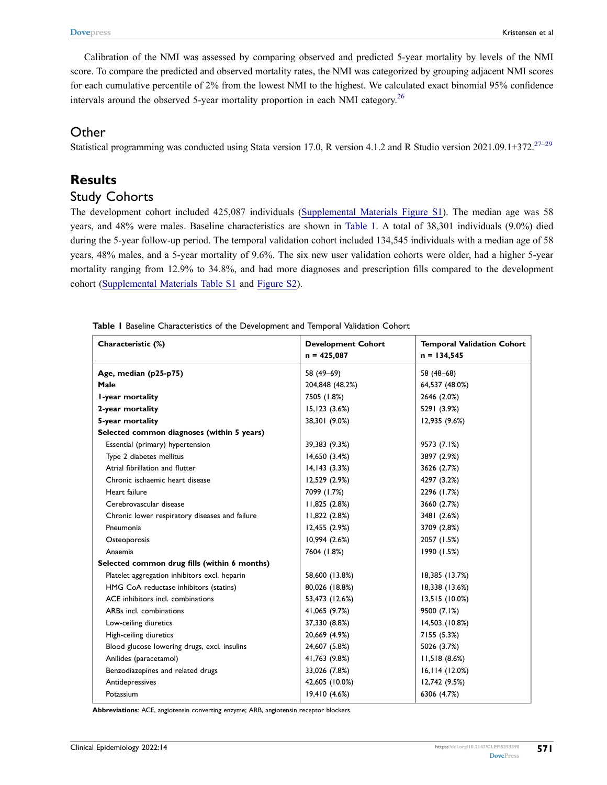<span id="page-4-1"></span>Calibration of the NMI was assessed by comparing observed and predicted 5-year mortality by levels of the NMI score. To compare the predicted and observed mortality rates, the NMI was categorized by grouping adjacent NMI scores for each cumulative percentile of 2% from the lowest NMI to the highest. We calculated exact binomial 95% confidence intervals around the observed 5-year mortality proportion in each NMI category.<sup>[26](#page-12-11)</sup>

#### **Other**

<span id="page-4-2"></span>Statistical programming was conducted using Stata version 17.0, R version 4.1.2 and R Studio version 2021.09.1+372.<sup>27-[29](#page-12-13)</sup>

# **Results**

#### Study Cohorts

The development cohort included 425,087 individuals [\(Supplemental Materials Figure S1\)](https://www.dovepress.com/get_supplementary_file.php?f=353398.docx). The median age was 58 years, and 48% were males. Baseline characteristics are shown in [Table 1](#page-4-0). A total of 38,301 individuals (9.0%) died during the 5-year follow-up period. The temporal validation cohort included 134,545 individuals with a median age of 58 years, 48% males, and a 5-year mortality of 9.6%. The six new user validation cohorts were older, had a higher 5-year mortality ranging from 12.9% to 34.8%, and had more diagnoses and prescription fills compared to the development cohort [\(Supplemental Materials Table S1](https://www.dovepress.com/get_supplementary_file.php?f=353398.docx) and [Figure S2\)](https://www.dovepress.com/get_supplementary_file.php?f=353398.docx).

| Characteristic (%)                             | <b>Development Cohort</b><br>$n = 425,087$ | <b>Temporal Validation Cohort</b><br>$n = 134,545$ |  |  |
|------------------------------------------------|--------------------------------------------|----------------------------------------------------|--|--|
| Age, median (p25-p75)                          | 58 (49-69)                                 | 58 (48-68)                                         |  |  |
| Male                                           | 204,848 (48.2%)                            | 64,537 (48.0%)                                     |  |  |
| I-year mortality                               | 7505 (1.8%)                                | 2646 (2.0%)                                        |  |  |
| 2-year mortality                               | 15,123(3.6%)                               | 5291 (3.9%)                                        |  |  |
| 5-year mortality                               | 38,301 (9.0%)                              | 12,935 (9.6%)                                      |  |  |
| Selected common diagnoses (within 5 years)     |                                            |                                                    |  |  |
| Essential (primary) hypertension               | 39,383 (9.3%)                              | 9573 (7.1%)                                        |  |  |
| Type 2 diabetes mellitus                       | 14,650(3.4%)                               | 3897 (2.9%)                                        |  |  |
| Atrial fibrillation and flutter                | 14,143(3.3%)                               | 3626 (2.7%)                                        |  |  |
| Chronic ischaemic heart disease                | 12,529 (2.9%)                              | 4297 (3.2%)                                        |  |  |
| Heart failure                                  | 7099 (1.7%)                                | 2296 (1.7%)                                        |  |  |
| Cerebrovascular disease                        | 11,825(2.8%)                               | 3660 (2.7%)                                        |  |  |
| Chronic lower respiratory diseases and failure | 11,822(2.8%)                               | 3481 (2.6%)                                        |  |  |
| Pneumonia                                      | 12,455 (2.9%)                              | 3709 (2.8%)                                        |  |  |
| Osteoporosis                                   | 10,994 (2.6%)                              | 2057 (1.5%)                                        |  |  |
| Anaemia                                        | 7604 (1.8%)                                | 1990 (1.5%)                                        |  |  |
| Selected common drug fills (within 6 months)   |                                            |                                                    |  |  |
| Platelet aggregation inhibitors excl. heparin  | 58,600 (13.8%)                             | 18,385 (13.7%)                                     |  |  |
| HMG CoA reductase inhibitors (statins)         | 80,026 (18.8%)                             | 18,338 (13.6%)                                     |  |  |
| ACE inhibitors incl. combinations              | 53,473 (12.6%)                             | 13,515 (10.0%)                                     |  |  |
| ARBs incl. combinations                        | 41,065 (9.7%)                              | 9500 (7.1%)                                        |  |  |
| Low-ceiling diuretics                          | 37,330 (8.8%)                              | 14,503 (10.8%)                                     |  |  |
| High-ceiling diuretics                         | 20,669 (4.9%)                              | 7155 (5.3%)                                        |  |  |
| Blood glucose lowering drugs, excl. insulins   | 24,607 (5.8%)                              | 5026 (3.7%)                                        |  |  |
| Anilides (paracetamol)                         | 41,763 (9.8%)                              | 11,518(8.6%)                                       |  |  |
| Benzodiazepines and related drugs              | 33,026 (7.8%)                              | 16,114(12.0%)                                      |  |  |
| Antidepressives                                | 42,605 (10.0%)                             | 12,742 (9.5%)                                      |  |  |
| Potassium                                      | 19,410 (4.6%)                              | 6306 (4.7%)                                        |  |  |

<span id="page-4-0"></span>**Table 1** Baseline Characteristics of the Development and Temporal Validation Cohort

**Abbreviations**: ACE, angiotensin converting enzyme; ARB, angiotensin receptor blockers.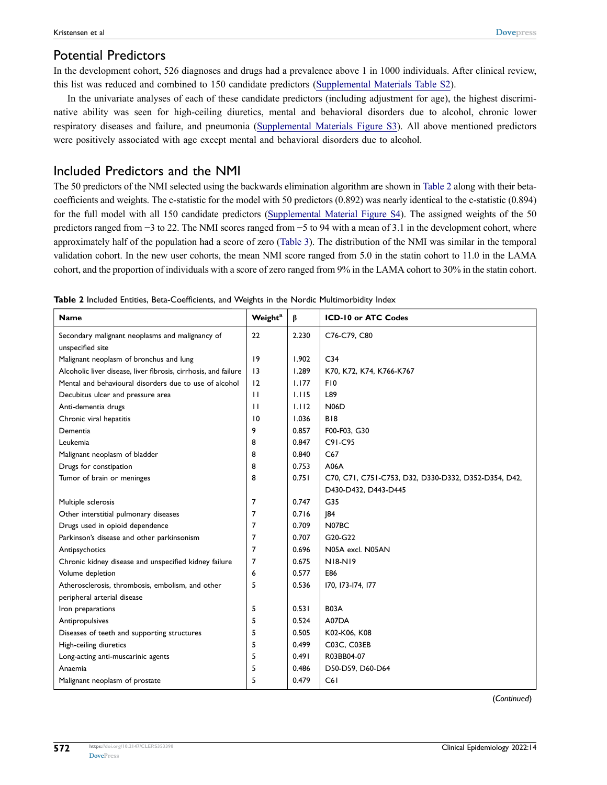#### Potential Predictors

In the development cohort, 526 diagnoses and drugs had a prevalence above 1 in 1000 individuals. After clinical review, this list was reduced and combined to 150 candidate predictors [\(Supplemental Materials Table S2\)](https://www.dovepress.com/get_supplementary_file.php?f=353398.docx).

In the univariate analyses of each of these candidate predictors (including adjustment for age), the highest discriminative ability was seen for high-ceiling diuretics, mental and behavioral disorders due to alcohol, chronic lower respiratory diseases and failure, and pneumonia [\(Supplemental Materials Figure S3\)](https://www.dovepress.com/get_supplementary_file.php?f=353398.docx). All above mentioned predictors were positively associated with age except mental and behavioral disorders due to alcohol.

# Included Predictors and the NMI

The 50 predictors of the NMI selected using the backwards elimination algorithm are shown in [Table 2](#page-5-0) along with their betacoefficients and weights. The c-statistic for the model with 50 predictors (0.892) was nearly identical to the c-statistic (0.894) for the full model with all 150 candidate predictors [\(Supplemental Material Figure S4](https://www.dovepress.com/get_supplementary_file.php?f=353398.docx)). The assigned weights of the 50 predictors ranged from −3 to 22. The NMI scores ranged from −5 to 94 with a mean of 3.1 in the development cohort, where approximately half of the population had a score of zero ([Table 3\)](#page-6-0). The distribution of the NMI was similar in the temporal validation cohort. In the new user cohorts, the mean NMI score ranged from 5.0 in the statin cohort to 11.0 in the LAMA cohort, and the proportion of individuals with a score of zero ranged from 9% in the LAMA cohort to 30% in the statin cohort.

| <b>Name</b>                                                     | Weight <sup>a</sup> | β     | <b>ICD-10 or ATC Codes</b>                           |
|-----------------------------------------------------------------|---------------------|-------|------------------------------------------------------|
| Secondary malignant neoplasms and malignancy of                 | 22                  | 2.230 | C76-C79, C80                                         |
| unspecified site                                                |                     |       |                                                      |
| Malignant neoplasm of bronchus and lung                         | 9                   | 1.902 | C <sub>34</sub>                                      |
| Alcoholic liver disease, liver fibrosis, cirrhosis, and failure | 13                  | 1.289 | K70, K72, K74, K766-K767                             |
| Mental and behavioural disorders due to use of alcohol          | 12                  | 1.177 | F <sub>10</sub>                                      |
| Decubitus ulcer and pressure area                               | $\mathbf{H}$        | 1.115 | L89                                                  |
| Anti-dementia drugs                                             | $\mathbf{H}$        | 1.112 | <b>N06D</b>                                          |
| Chronic viral hepatitis                                         | 10                  | 1.036 | <b>B18</b>                                           |
| Dementia                                                        | 9                   | 0.857 | F00-F03, G30                                         |
| Leukemia                                                        | 8                   | 0.847 | C91-C95                                              |
| Malignant neoplasm of bladder                                   | 8                   | 0.840 | C67                                                  |
| Drugs for constipation                                          | 8                   | 0.753 | A06A                                                 |
| Tumor of brain or meninges                                      | 8                   | 0.751 | C70, C71, C751-C753, D32, D330-D332, D352-D354, D42, |
|                                                                 |                     |       | D430-D432, D443-D445                                 |
| Multiple sclerosis                                              | 7                   | 0.747 | G35                                                  |
| Other interstitial pulmonary diseases                           | 7                   | 0.716 | 84                                                   |
| Drugs used in opioid dependence                                 | 7                   | 0.709 | N07BC                                                |
| Parkinson's disease and other parkinsonism                      | 7                   | 0.707 | G20-G22                                              |
| Antipsychotics                                                  | 7                   | 0.696 | N05A excl. N05AN                                     |
| Chronic kidney disease and unspecified kidney failure           | 7                   | 0.675 | N18-N19                                              |
| Volume depletion                                                | 6                   | 0.577 | E86                                                  |
| Atherosclerosis, thrombosis, embolism, and other                | 5                   | 0.536 | 170, 173-174, 177                                    |
| peripheral arterial disease                                     |                     |       |                                                      |
| Iron preparations                                               | 5                   | 0.531 | B03A                                                 |
| Antipropulsives                                                 | 5                   | 0.524 | A07DA                                                |
| Diseases of teeth and supporting structures                     | 5                   | 0.505 | K02-K06, K08                                         |
| High-ceiling diuretics                                          | 5                   | 0.499 | C03C, C03EB                                          |
| Long-acting anti-muscarinic agents                              | 5                   | 0.491 | R03BB04-07                                           |
| Anaemia                                                         | 5                   | 0.486 | D50-D59, D60-D64                                     |
| Malignant neoplasm of prostate                                  | 5                   | 0.479 | C61                                                  |

<span id="page-5-0"></span>**Table 2** Included Entities, Beta-Coefficients, and Weights in the Nordic Multimorbidity Index

(*Continued*)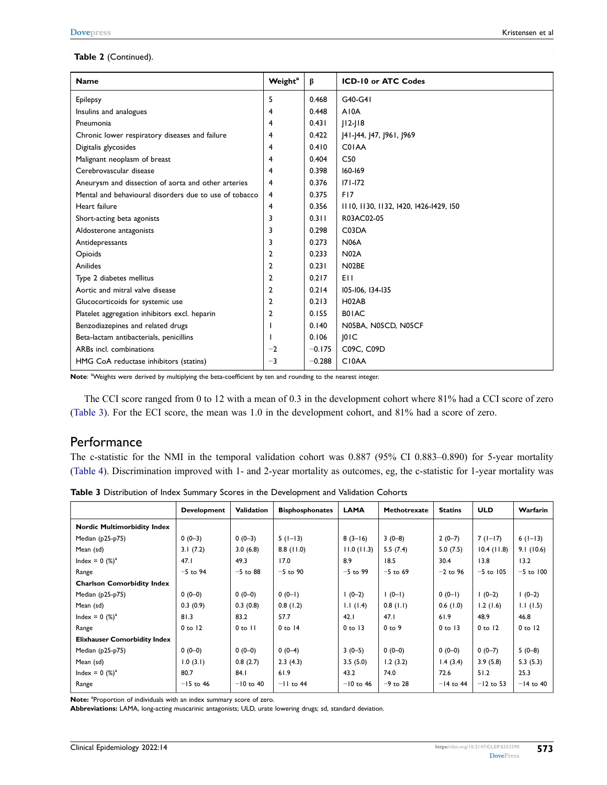#### **Table 2** (Continued).

| <b>Name</b>                                            | Weight <sup>a</sup> | β        | <b>ICD-10 or ATC Codes</b>             |
|--------------------------------------------------------|---------------------|----------|----------------------------------------|
| Epilepsy                                               | 5                   | 0.468    | G40-G41                                |
| Insulins and analogues                                 | 4                   | 0.448    | A10A                                   |
| Pneumonia                                              | 4                   | 0.431    | $ 12 -  18$                            |
| Chronic lower respiratory diseases and failure         | 4                   | 0.422    | [41-144, 147, 1961, 1969               |
| Digitalis glycosides                                   | 4                   | 0.410    | <b>C01AA</b>                           |
| Malignant neoplasm of breast                           | 4                   | 0.404    | C50                                    |
| Cerebrovascular disease                                | 4                   | 0.398    | 160-169                                |
| Aneurysm and dissection of aorta and other arteries    | 4                   | 0.376    | $171 - 172$                            |
| Mental and behavioural disorders due to use of tobacco | 4                   | 0.375    | F <sub>17</sub>                        |
| Heart failure                                          | 4                   | 0.356    | 1110, 1130, 1132, 1420, 1426-1429, 150 |
| Short-acting beta agonists                             | 3                   | 0.311    | R03AC02-05                             |
| Aldosterone antagonists                                | 3                   | 0.298    | C03DA                                  |
| Antidepressants                                        | 3                   | 0.273    | <b>N06A</b>                            |
| Opioids                                                | 2                   | 0.233    | <b>N02A</b>                            |
| Anilides                                               | 2                   | 0.231    | N02BE                                  |
| Type 2 diabetes mellitus                               | 2                   | 0.217    | EH                                     |
| Aortic and mitral valve disease                        | 2                   | 0.214    | 105-106, 134-135                       |
| Glucocorticoids for systemic use                       | 2                   | 0.213    | H <sub>02</sub> AB                     |
| Platelet aggregation inhibitors excl. heparin          | $\overline{2}$      | 0.155    | B01AC                                  |
| Benzodiazepines and related drugs                      |                     | 0.140    | N05BA, N05CD, N05CF                    |
| Beta-lactam antibacterials, penicillins                |                     | 0.106    | 0 C                                    |
| ARBs incl. combinations                                | $-2$                | $-0.175$ | C09C, C09D                             |
| HMG CoA reductase inhibitors (statins)                 | $-3$                | $-0.288$ | C <sub>10</sub> AA                     |

Note: <sup>a</sup>Weights were derived by multiplying the beta-coefficient by ten and rounding to the nearest integer.

The CCI score ranged from 0 to 12 with a mean of 0.3 in the development cohort where 81% had a CCI score of zero [\(Table 3\)](#page-6-0). For the ECI score, the mean was 1.0 in the development cohort, and 81% had a score of zero.

#### **Performance**

The c-statistic for the NMI in the temporal validation cohort was 0.887 (95% CI 0.883–0.890) for 5-year mortality [\(Table 4](#page-7-0)). Discrimination improved with 1- and 2-year mortality as outcomes, eg, the c-statistic for 1-year mortality was

|                                     | <b>Development</b> | Validation  | <b>Bisphosphonates</b> | <b>LAMA</b> | Methotrexate | <b>Statins</b> | <b>ULD</b>  | Warfarin    |
|-------------------------------------|--------------------|-------------|------------------------|-------------|--------------|----------------|-------------|-------------|
| <b>Nordic Multimorbidity Index</b>  |                    |             |                        |             |              |                |             |             |
| Median (p25-p75)                    | $0(0-3)$           | $0(0-3)$    | $5(1-13)$              | $8(3-16)$   | $3(0-8)$     | $2(0-7)$       | $7(1-17)$   | $6(1-13)$   |
| Mean (sd)                           | 3.1(7.2)           | 3.0(6.8)    | 8.8(11.0)              | 11.0(11.3)  | 5.5(7.4)     | 5.0(7.5)       | 10.4(11.8)  | 9.1(10.6)   |
| Index = $0$ (%) <sup>a</sup>        | 47.1               | 49.3        | 17.0                   | 8.9         | 18.5         | 30.4           | 13.8        | 13.2        |
| Range                               | $-5$ to 94         | $-5$ to 88  | $-5$ to 90             | $-5$ to 99  | $-5$ to 69   | $-2$ to 96     | $-5$ to 105 | $-5$ to 100 |
| <b>Charlson Comorbidity Index</b>   |                    |             |                        |             |              |                |             |             |
| Median (p25-p75)                    | $0(0-0)$           | $0(0-0)$    | $0(0-1)$               | $1(0-2)$    | $(0-1)$      | $0(0-1)$       | $1(0-2)$    | $1(0-2)$    |
| Mean (sd)                           | 0.3(0.9)           | 0.3(0.8)    | 0.8(1.2)               | 1.1(1.4)    | 0.8(1.1)     | 0.6(1.0)       | 1.2(1.6)    | 1.1(1.5)    |
| Index = $0$ (%) <sup>a</sup>        | 81.3               | 83.2        | 57.7                   | 42.1        | 47.1         | 61.9           | 48.9        | 46.8        |
| Range                               | $0$ to $12$        | $0$ to $11$ | $0$ to $14$            | $0$ to $13$ | $0$ to $9$   | $0$ to $13$    | $0$ to $12$ | $0$ to $12$ |
| <b>Elixhauser Comorbidity Index</b> |                    |             |                        |             |              |                |             |             |
| Median (p25-p75)                    | $0(0-0)$           | $0(0-0)$    | $0(0-4)$               | $3(0-5)$    | $0(0-0)$     | $0(0-0)$       | $0(0-7)$    | $5(0-8)$    |
| Mean (sd)                           | 1.0(3.1)           | 0.8(2.7)    | 2.3(4.3)               | 3.5(5.0)    | 1.2(3.2)     | 1.4(3.4)       | 3.9(5.8)    | 5.3(5.3)    |
| Index = $0$ (%) <sup>a</sup>        | 80.7               | 84.1        | 61.9                   | 43.2        | 74.0         | 72.6           | 51.2        | 25.3        |
| Range                               | $-15$ to 46        | $-10$ to 40 | $-11$ to 44            | $-10$ to 46 | $-9$ to 28   | $-14$ to 44    | $-12$ to 53 | $-14$ to 40 |

<span id="page-6-0"></span>**Table 3** Distribution of Index Summary Scores in the Development and Validation Cohorts

Note: <sup>a</sup>Proportion of individuals with an index summary score of zero.

**Abbreviations:** LAMA, long-acting muscarinic antagonists; ULD, urate lowering drugs; sd, standard deviation.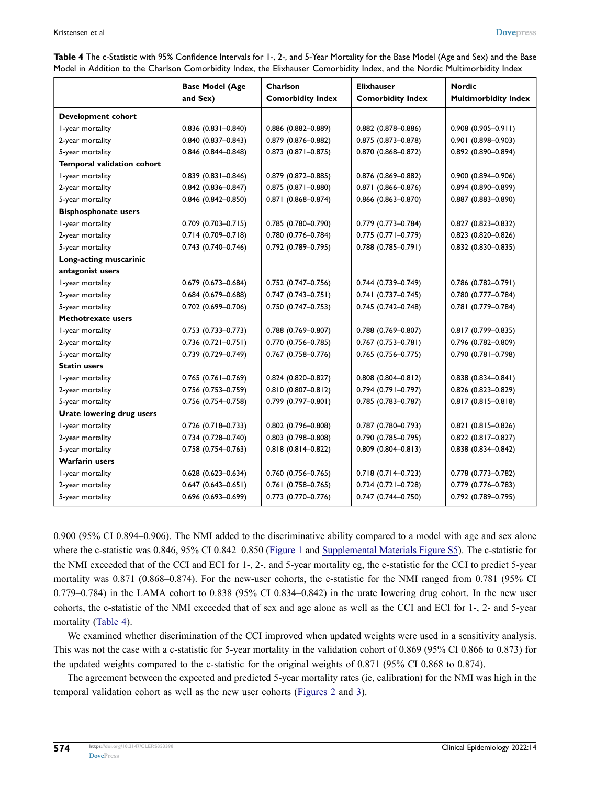|                             | <b>Base Model (Age</b>    | Charlson                  | <b>Elixhauser</b>         | <b>Nordic</b>               |  |
|-----------------------------|---------------------------|---------------------------|---------------------------|-----------------------------|--|
|                             | and Sex)                  | <b>Comorbidity Index</b>  | <b>Comorbidity Index</b>  | <b>Multimorbidity Index</b> |  |
| <b>Development cohort</b>   |                           |                           |                           |                             |  |
| I-year mortality            | $0.836$ (0.831-0.840)     | 0.886 (0.882-0.889)       | $0.882$ (0.878-0.886)     | $0.908(0.905 - 0.911)$      |  |
| 2-year mortality            | $0.840(0.837 - 0.843)$    | 0.879 (0.876-0.882)       | 0.875 (0.873-0.878)       | $0.901$ (0.898-0.903)       |  |
| 5-year mortality            | $0.846$ (0.844-0.848)     | $0.873$ $(0.871 - 0.875)$ | 0.870 (0.868-0.872)       | 0.892 (0.890-0.894)         |  |
| Temporal validation cohort  |                           |                           |                           |                             |  |
| I-year mortality            | $0.839$ $(0.831 - 0.846)$ | $0.879$ $(0.872 - 0.885)$ | 0.876 (0.869-0.882)       | $0.900(0.894 - 0.906)$      |  |
| 2-year mortality            | $0.842$ (0.836-0.847)     | $0.875$ (0.871-0.880)     | 0.871 (0.866-0.876)       | $0.894(0.890 - 0.899)$      |  |
| 5-year mortality            | 0.846 (0.842-0.850)       | $0.871$ (0.868-0.874)     | $0.866$ $(0.863 - 0.870)$ | $0.887$ (0.883-0.890)       |  |
| <b>Bisphosphonate users</b> |                           |                           |                           |                             |  |
| I-year mortality            | $0.709$ $(0.703 - 0.715)$ | 0.785 (0.780-0.790)       | 0.779 (0.773-0.784)       | $0.827$ (0.823-0.832)       |  |
| 2-year mortality            | $0.714(0.709 - 0.718)$    | 0.780 (0.776-0.784)       | $0.775(0.771 - 0.779)$    | $0.823$ $(0.820 - 0.826)$   |  |
| 5-year mortality            | 0.743 (0.740-0.746)       | 0.792 (0.789-0.795)       | $0.788$ $(0.785 - 0.791)$ | $0.832(0.830 - 0.835)$      |  |
| Long-acting muscarinic      |                           |                           |                           |                             |  |
| antagonist users            |                           |                           |                           |                             |  |
| I-year mortality            | 0.679 (0.673-0.684)       | $0.752$ $(0.747 - 0.756)$ | $0.744(0.739 - 0.749)$    | $0.786$ (0.782-0.791)       |  |
| 2-year mortality            | $0.684$ (0.679-0.688)     | $0.747$ $(0.743 - 0.751)$ | $0.741(0.737 - 0.745)$    | 0.780 (0.777-0.784)         |  |
| 5-year mortality            | 0.702 (0.699-0.706)       | $0.750(0.747 - 0.753)$    | 0.745 (0.742-0.748)       | 0.781 (0.779-0.784)         |  |
| Methotrexate users          |                           |                           |                           |                             |  |
| I-year mortality            | $0.753(0.733 - 0.773)$    | $0.788$ $(0.769 - 0.807)$ | $0.788$ (0.769-0.807)     | $0.817(0.799 - 0.835)$      |  |
| 2-year mortality            | $0.736$ (0.721-0.751)     | 0.770 (0.756-0.785)       | $0.767(0.753 - 0.781)$    | 0.796 (0.782-0.809)         |  |
| 5-year mortality            | 0.739 (0.729-0.749)       | $0.767$ $(0.758 - 0.776)$ | $0.765(0.756 - 0.775)$    | 0.790 (0.781-0.798)         |  |
| <b>Statin users</b>         |                           |                           |                           |                             |  |
| I-year mortality            | $0.765$ $(0.761 - 0.769)$ | $0.824$ (0.820-0.827)     | $0.808$ $(0.804 - 0.812)$ | $0.838(0.834 - 0.841)$      |  |
| 2-year mortality            | 0.756 (0.753-0.759)       | $0.810(0.807 - 0.812)$    | $0.794(0.791 - 0.797)$    | $0.826$ (0.823-0.829)       |  |
| 5-year mortality            | 0.756 (0.754-0.758)       | $0.799$ $(0.797 - 0.801)$ | $0.785(0.783 - 0.787)$    | $0.817(0.815 - 0.818)$      |  |
| Urate lowering drug users   |                           |                           |                           |                             |  |
| I-year mortality            | $0.726$ (0.718-0.733)     | $0.802$ (0.796-0.808)     | 0.787 (0.780-0.793)       | $0.821(0.815 - 0.826)$      |  |
| 2-year mortality            | 0.734 (0.728-0.740)       | $0.803$ $(0.798 - 0.808)$ | 0.790 (0.785-0.795)       | $0.822$ (0.817-0.827)       |  |
| 5-year mortality            | $0.758(0.754 - 0.763)$    | $0.818(0.814 - 0.822)$    | $0.809$ $(0.804 - 0.813)$ | $0.838(0.834 - 0.842)$      |  |
| <b>Warfarin users</b>       |                           |                           |                           |                             |  |
| I-year mortality            | $0.628$ (0.623-0.634)     | $0.760(0.756 - 0.765)$    | $0.718(0.714 - 0.723)$    | $0.778$ (0.773-0.782)       |  |
| 2-year mortality            | $0.647$ $(0.643 - 0.651)$ | $0.761$ (0.758-0.765)     | $0.724$ (0.721-0.728)     | $0.779$ (0.776-0.783)       |  |
| 5-year mortality            | 0.696 (0.693-0.699)       | 0.773 (0.770-0.776)       | $0.747$ $(0.744 - 0.750)$ | 0.792 (0.789-0.795)         |  |

<span id="page-7-0"></span>**Table 4** The c-Statistic with 95% Confidence Intervals for 1-, 2-, and 5-Year Mortality for the Base Model (Age and Sex) and the Base Model in Addition to the Charlson Comorbidity Index, the Elixhauser Comorbidity Index, and the Nordic Multimorbidity Index

0.900 (95% CI 0.894–0.906). The NMI added to the discriminative ability compared to a model with age and sex alone where the c-statistic was 0.846, 95% CI 0.842–0.850 ([Figure 1](#page-8-0) and [Supplemental Materials Figure S5](https://www.dovepress.com/get_supplementary_file.php?f=353398.docx)). The c-statistic for the NMI exceeded that of the CCI and ECI for 1-, 2-, and 5-year mortality eg, the c-statistic for the CCI to predict 5-year mortality was 0.871 (0.868–0.874). For the new-user cohorts, the c-statistic for the NMI ranged from 0.781 (95% CI 0.779–0.784) in the LAMA cohort to 0.838 (95% CI 0.834–0.842) in the urate lowering drug cohort. In the new user cohorts, the c-statistic of the NMI exceeded that of sex and age alone as well as the CCI and ECI for 1-, 2- and 5-year mortality [\(Table 4\)](#page-7-0).

We examined whether discrimination of the CCI improved when updated weights were used in a sensitivity analysis. This was not the case with a c-statistic for 5-year mortality in the validation cohort of 0.869 (95% CI 0.866 to 0.873) for the updated weights compared to the c-statistic for the original weights of 0.871 (95% CI 0.868 to 0.874).

The agreement between the expected and predicted 5-year mortality rates (ie, calibration) for the NMI was high in the temporal validation cohort as well as the new user cohorts [\(Figures 2](#page-8-1) and [3\)](#page-9-0).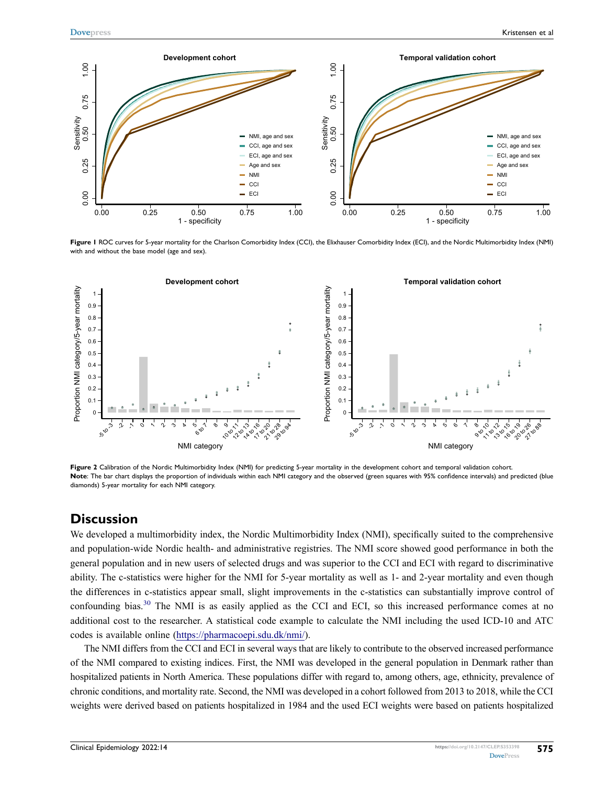<span id="page-8-0"></span>

**Figure 1** ROC curves for 5-year mortality for the Charlson Comorbidity Index (CCI), the Elixhauser Comorbidity Index (ECI), and the Nordic Multimorbidity Index (NMI) with and without the base model (age and sex).

<span id="page-8-1"></span>

Figure 2 Calibration of the Nordic Multimorbidity Index (NMI) for predicting 5-year mortality in the development cohort and temporal validation cohort. **Note**: The bar chart displays the proportion of individuals within each NMI category and the observed (green squares with 95% confidence intervals) and predicted (blue diamonds) 5-year mortality for each NMI category.

# **Discussion**

We developed a multimorbidity index, the Nordic Multimorbidity Index (NMI), specifically suited to the comprehensive and population-wide Nordic health- and administrative registries. The NMI score showed good performance in both the general population and in new users of selected drugs and was superior to the CCI and ECI with regard to discriminative ability. The c-statistics were higher for the NMI for 5-year mortality as well as 1- and 2-year mortality and even though the differences in c-statistics appear small, slight improvements in the c-statistics can substantially improve control of confounding bias.<sup>[30](#page-12-14)</sup> The NMI is as easily applied as the CCI and ECI, so this increased performance comes at no additional cost to the researcher. A statistical code example to calculate the NMI including the used ICD-10 and ATC codes is available online [\(https://pharmacoepi.sdu.dk/nmi/\)](https://pharmacoepi.sdu.dk/nmi/).

<span id="page-8-2"></span>The NMI differs from the CCI and ECI in several ways that are likely to contribute to the observed increased performance of the NMI compared to existing indices. First, the NMI was developed in the general population in Denmark rather than hospitalized patients in North America. These populations differ with regard to, among others, age, ethnicity, prevalence of chronic conditions, and mortality rate. Second, the NMI was developed in a cohort followed from 2013 to 2018, while the CCI weights were derived based on patients hospitalized in 1984 and the used ECI weights were based on patients hospitalized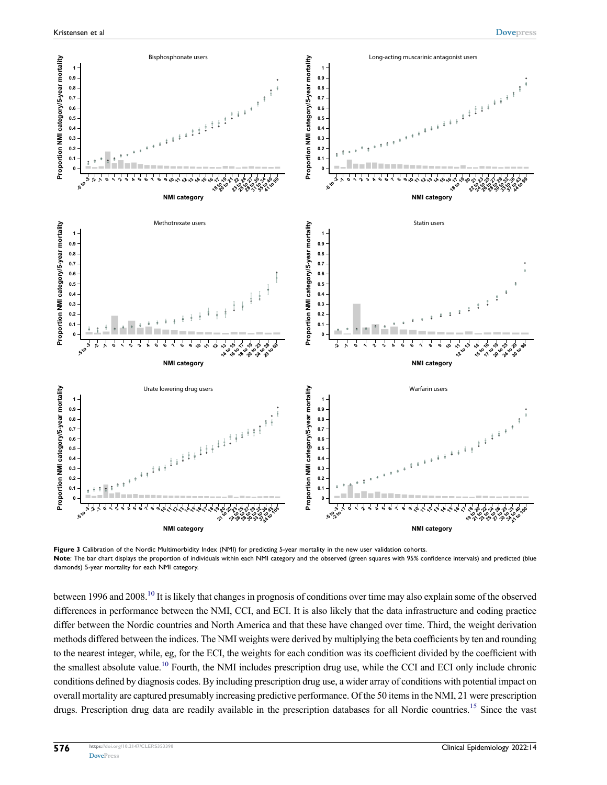<span id="page-9-0"></span>

**Figure 3** Calibration of the Nordic Multimorbidity Index (NMI) for predicting 5-year mortality in the new user validation cohorts. **Note**: The bar chart displays the proportion of individuals within each NMI category and the observed (green squares with 95% confidence intervals) and predicted (blue diamonds) 5-year mortality for each NMI category.

between 1996 and 2008.<sup>[10](#page-11-6)</sup> It is likely that changes in prognosis of conditions over time may also explain some of the observed differences in performance between the NMI, CCI, and ECI. It is also likely that the data infrastructure and coding practice differ between the Nordic countries and North America and that these have changed over time. Third, the weight derivation methods differed between the indices. The NMI weights were derived by multiplying the beta coefficients by ten and rounding to the nearest integer, while, eg, for the ECI, the weights for each condition was its coefficient divided by the coefficient with the smallest absolute value.[10](#page-11-6) Fourth, the NMI includes prescription drug use, while the CCI and ECI only include chronic conditions defined by diagnosis codes. By including prescription drug use, a wider array of conditions with potential impact on overall mortality are captured presumably increasing predictive performance. Of the 50 items in the NMI, 21 were prescription drugs. Prescription drug data are readily available in the prescription databases for all Nordic countries.<sup>[15](#page-12-0)</sup> Since the vast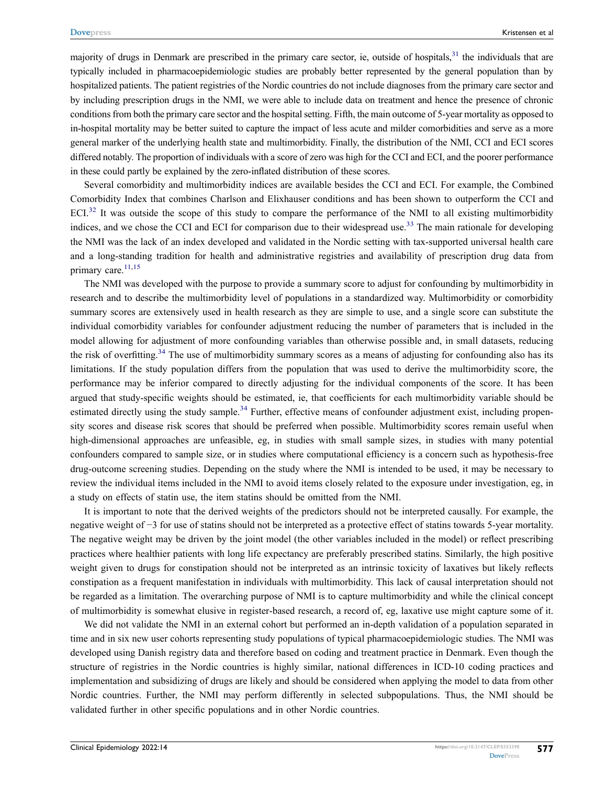<span id="page-10-0"></span>majority of drugs in Denmark are prescribed in the primary care sector, ie, outside of hospitals,<sup>[31](#page-12-15)</sup> the individuals that are typically included in pharmacoepidemiologic studies are probably better represented by the general population than by hospitalized patients. The patient registries of the Nordic countries do not include diagnoses from the primary care sector and by including prescription drugs in the NMI, we were able to include data on treatment and hence the presence of chronic conditions from both the primary care sector and the hospital setting. Fifth, the main outcome of 5-year mortality as opposed to in-hospital mortality may be better suited to capture the impact of less acute and milder comorbidities and serve as a more general marker of the underlying health state and multimorbidity. Finally, the distribution of the NMI, CCI and ECI scores differed notably. The proportion of individuals with a score of zero was high for the CCI and ECI, and the poorer performance in these could partly be explained by the zero-inflated distribution of these scores.

<span id="page-10-2"></span><span id="page-10-1"></span>Several comorbidity and multimorbidity indices are available besides the CCI and ECI. For example, the Combined Comorbidity Index that combines Charlson and Elixhauser conditions and has been shown to outperform the CCI and ECI.<sup>[32](#page-12-16)</sup> It was outside the scope of this study to compare the performance of the NMI to all existing multimorbidity indices, and we chose the CCI and ECI for comparison due to their widespread use.<sup>[33](#page-12-17)</sup> The main rationale for developing the NMI was the lack of an index developed and validated in the Nordic setting with tax-supported universal health care and a long-standing tradition for health and administrative registries and availability of prescription drug data from primary care. $11,15$  $11,15$ 

The NMI was developed with the purpose to provide a summary score to adjust for confounding by multimorbidity in research and to describe the multimorbidity level of populations in a standardized way. Multimorbidity or comorbidity summary scores are extensively used in health research as they are simple to use, and a single score can substitute the individual comorbidity variables for confounder adjustment reducing the number of parameters that is included in the model allowing for adjustment of more confounding variables than otherwise possible and, in small datasets, reducing the risk of overfitting.<sup>[34](#page-12-18)</sup> The use of multimorbidity summary scores as a means of adjusting for confounding also has its limitations. If the study population differs from the population that was used to derive the multimorbidity score, the performance may be inferior compared to directly adjusting for the individual components of the score. It has been argued that study-specific weights should be estimated, ie, that coefficients for each multimorbidity variable should be estimated directly using the study sample.<sup>[34](#page-12-18)</sup> Further, effective means of confounder adjustment exist, including propensity scores and disease risk scores that should be preferred when possible. Multimorbidity scores remain useful when high-dimensional approaches are unfeasible, eg, in studies with small sample sizes, in studies with many potential confounders compared to sample size, or in studies where computational efficiency is a concern such as hypothesis-free drug-outcome screening studies. Depending on the study where the NMI is intended to be used, it may be necessary to review the individual items included in the NMI to avoid items closely related to the exposure under investigation, eg, in a study on effects of statin use, the item statins should be omitted from the NMI.

<span id="page-10-3"></span>It is important to note that the derived weights of the predictors should not be interpreted causally. For example, the negative weight of −3 for use of statins should not be interpreted as a protective effect of statins towards 5-year mortality. The negative weight may be driven by the joint model (the other variables included in the model) or reflect prescribing practices where healthier patients with long life expectancy are preferably prescribed statins. Similarly, the high positive weight given to drugs for constipation should not be interpreted as an intrinsic toxicity of laxatives but likely reflects constipation as a frequent manifestation in individuals with multimorbidity. This lack of causal interpretation should not be regarded as a limitation. The overarching purpose of NMI is to capture multimorbidity and while the clinical concept of multimorbidity is somewhat elusive in register-based research, a record of, eg, laxative use might capture some of it.

We did not validate the NMI in an external cohort but performed an in-depth validation of a population separated in time and in six new user cohorts representing study populations of typical pharmacoepidemiologic studies. The NMI was developed using Danish registry data and therefore based on coding and treatment practice in Denmark. Even though the structure of registries in the Nordic countries is highly similar, national differences in ICD-10 coding practices and implementation and subsidizing of drugs are likely and should be considered when applying the model to data from other Nordic countries. Further, the NMI may perform differently in selected subpopulations. Thus, the NMI should be validated further in other specific populations and in other Nordic countries.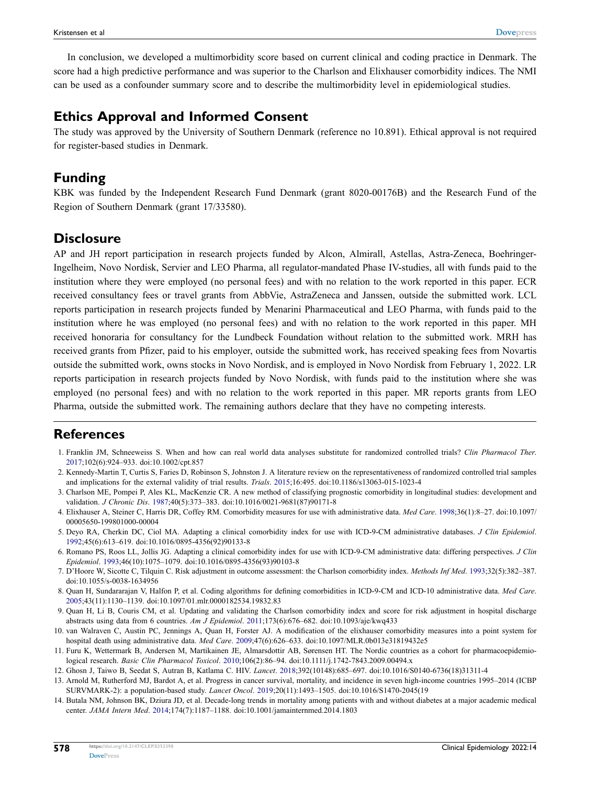In conclusion, we developed a multimorbidity score based on current clinical and coding practice in Denmark. The score had a high predictive performance and was superior to the Charlson and Elixhauser comorbidity indices. The NMI can be used as a confounder summary score and to describe the multimorbidity level in epidemiological studies.

#### **Ethics Approval and Informed Consent**

The study was approved by the University of Southern Denmark (reference no 10.891). Ethical approval is not required for register-based studies in Denmark.

#### **Funding**

KBK was funded by the Independent Research Fund Denmark (grant 8020-00176B) and the Research Fund of the Region of Southern Denmark (grant 17/33580).

#### **Disclosure**

AP and JH report participation in research projects funded by Alcon, Almirall, Astellas, Astra-Zeneca, Boehringer-Ingelheim, Novo Nordisk, Servier and LEO Pharma, all regulator-mandated Phase IV-studies, all with funds paid to the institution where they were employed (no personal fees) and with no relation to the work reported in this paper. ECR received consultancy fees or travel grants from AbbVie, AstraZeneca and Janssen, outside the submitted work. LCL reports participation in research projects funded by Menarini Pharmaceutical and LEO Pharma, with funds paid to the institution where he was employed (no personal fees) and with no relation to the work reported in this paper. MH received honoraria for consultancy for the Lundbeck Foundation without relation to the submitted work. MRH has received grants from Pfizer, paid to his employer, outside the submitted work, has received speaking fees from Novartis outside the submitted work, owns stocks in Novo Nordisk, and is employed in Novo Nordisk from February 1, 2022. LR reports participation in research projects funded by Novo Nordisk, with funds paid to the institution where she was employed (no personal fees) and with no relation to the work reported in this paper. MR reports grants from LEO Pharma, outside the submitted work. The remaining authors declare that they have no competing interests.

#### **References**

- <span id="page-11-0"></span>1. Franklin JM, Schneeweiss S. When and how can real world data analyses substitute for randomized controlled trials? *Clin Pharmacol Ther*. [2017;](#page-0-5)102(6):924–933. doi:[10.1002/cpt.857](https://doi.org/10.1002/cpt.857)
- <span id="page-11-1"></span>2. Kennedy-Martin T, Curtis S, Faries D, Robinson S, Johnston J. A literature review on the representativeness of randomized controlled trial samples and implications for the external validity of trial results. *Trials*. [2015;](#page-0-5)16:495. doi:[10.1186/s13063-015-1023-4](https://doi.org/10.1186/s13063-015-1023-4)
- <span id="page-11-2"></span>3. Charlson ME, Pompei P, Ales KL, MacKenzie CR. A new method of classifying prognostic comorbidity in longitudinal studies: development and validation. *J Chronic Dis*. [1987;](#page-1-0)40(5):373–383. doi:[10.1016/0021-9681\(87\)90171-8](https://doi.org/10.1016/0021-9681(87)90171-8)
- <span id="page-11-3"></span>4. Elixhauser A, Steiner C, Harris DR, Coffey RM. Comorbidity measures for use with administrative data. *Med Care*. [1998;](#page-1-0)36(1):8–27. doi:[10.1097/](https://doi.org/10.1097/00005650-199801000-00004) [00005650-199801000-00004](https://doi.org/10.1097/00005650-199801000-00004)
- <span id="page-11-4"></span>5. Deyo RA, Cherkin DC, Ciol MA. Adapting a clinical comorbidity index for use with ICD-9-CM administrative databases. *J Clin Epidemiol*. [1992;](#page-1-1)45(6):613–619. doi:[10.1016/0895-4356\(92\)90133-8](https://doi.org/10.1016/0895-4356(92)90133-8)
- 6. Romano PS, Roos LL, Jollis JG. Adapting a clinical comorbidity index for use with ICD-9-CM administrative data: differing perspectives. *J Clin Epidemiol*. 1993;46(10):1075–1079. doi:[10.1016/0895-4356\(93\)90103-8](https://doi.org/10.1016/0895-4356(93)90103-8)
- 7. D'Hoore W, Sicotte C, Tilquin C. Risk adjustment in outcome assessment: the Charlson comorbidity index. *Methods Inf Med*. 1993;32(5):382–387. doi:[10.1055/s-0038-1634956](https://doi.org/10.1055/s-0038-1634956)
- <span id="page-11-11"></span>8. Quan H, Sundararajan V, Halfon P, et al. Coding algorithms for defining comorbidities in ICD-9-CM and ICD-10 administrative data. *Med Care*. [2005;](#page-3-0)43(11):1130–1139. doi:[10.1097/01.mlr.0000182534.19832.83](https://doi.org/10.1097/01.mlr.0000182534.19832.83)
- <span id="page-11-5"></span>9. Quan H, Li B, Couris CM, et al. Updating and validating the Charlson comorbidity index and score for risk adjustment in hospital discharge abstracts using data from 6 countries. *Am J Epidemiol*. [2011;](#page-3-1)173(6):676–682. doi:[10.1093/aje/kwq433](https://doi.org/10.1093/aje/kwq433)
- <span id="page-11-6"></span>10. van Walraven C, Austin PC, Jennings A, Quan H, Forster AJ. A modification of the elixhauser comorbidity measures into a point system for hospital death using administrative data. *Med Care*. [2009](#page-1-2);47(6):626–633. doi:[10.1097/MLR.0b013e31819432e5](https://doi.org/10.1097/MLR.0b013e31819432e5)
- <span id="page-11-7"></span>11. Furu K, Wettermark B, Andersen M, Martikainen JE, Almarsdottir AB, Sørensen HT. The Nordic countries as a cohort for pharmacoepidemiological research. *Basic Clin Pharmacol Toxicol*. [2010](#page-1-3);106(2):86–94. doi:[10.1111/j.1742-7843.2009.00494.x](https://doi.org/10.1111/j.1742-7843.2009.00494.x)
- <span id="page-11-8"></span>12. Ghosn J, Taiwo B, Seedat S, Autran B, Katlama C. HIV. *Lancet*. [2018](#page-1-4);392(10148):685–697. doi:[10.1016/S0140-6736\(18\)31311-4](https://doi.org/10.1016/S0140-6736(18)31311-4)
- <span id="page-11-9"></span>13. Arnold M, Rutherford MJ, Bardot A, et al. Progress in cancer survival, mortality, and incidence in seven high-income countries 1995–2014 (ICBP SURVMARK-2): a population-based study. *Lancet Oncol*. [2019;](#page-1-4)20(11):1493–1505. doi:[10.1016/S1470-2045\(19](https://doi.org/10.1016/S1470-2045(19)
- <span id="page-11-10"></span>14. Butala NM, Johnson BK, Dziura JD, et al. Decade-long trends in mortality among patients with and without diabetes at a major academic medical center. *JAMA Intern Med*. [2014](#page-1-5);174(7):1187–1188. doi:[10.1001/jamainternmed.2014.1803](https://doi.org/10.1001/jamainternmed.2014.1803)